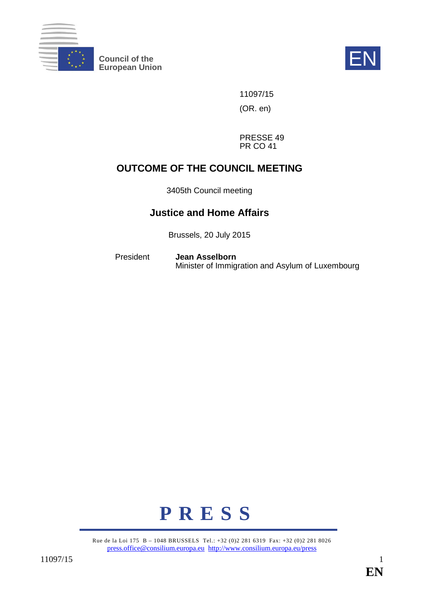

**Council of the EN**<br>European Union



11097/15 (OR. en)

PRESSE 49 PR CO 41

# **OUTCOME OF THE COUNCIL MEETING**

3405th Council meeting

# **Justice and Home Affairs**

Brussels, 20 July 2015

President **Jean Asselborn** Minister of Immigration and Asylum of Luxembourg



Rue de la Loi 175 B – 1048 BRUSSELS Tel.: +32 (0)2 281 6319 Fax: +32 (0)2 281 8026 [press.office@consilium.europa.eu](mailto:press.office@consilium.europa.eu) <http://www.consilium.europa.eu/press>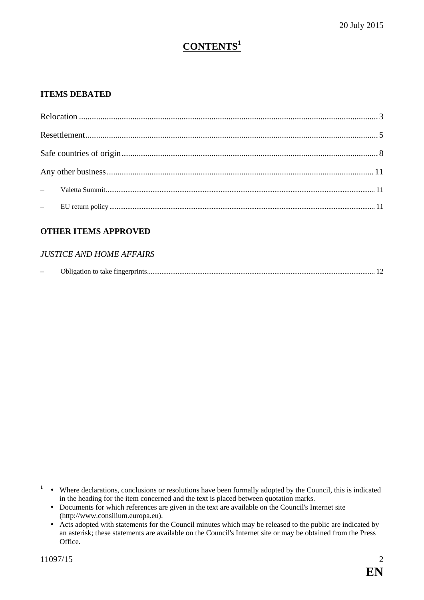# **CONTENTS<sup>1</sup>**

# **ITEMS DEBATED**

## **OTHER ITEMS APPROVED**

### *JUSTICE AND HOME AFFAIRS*

| $\sim$ | Obligation to take fingerprints.<br>$\sim$ $\sim$ |  |
|--------|---------------------------------------------------|--|
|--------|---------------------------------------------------|--|

- <sup>1</sup> Where declarations, conclusions or resolutions have been formally adopted by the Council, this is indicated in the heading for the item concerned and the text is placed between quotation marks.
	- Documents for which references are given in the text are available on the Council's Internet site (http://www.consilium.europa.eu).
	- Acts adopted with statements for the Council minutes which may be released to the public are indicated by an asterisk; these statements are available on the Council's Internet site or may be obtained from the Press Office.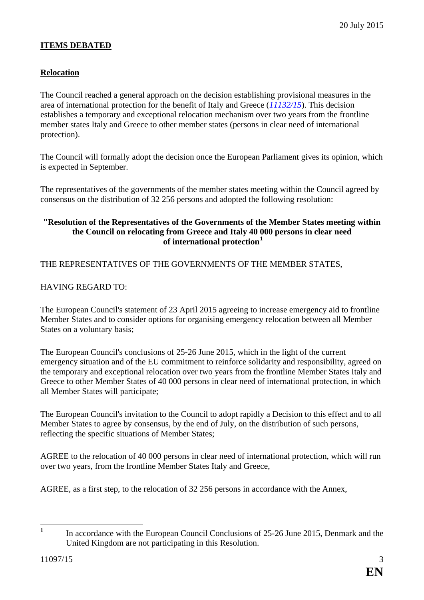## **ITEMS DEBATED**

## <span id="page-2-0"></span>**Relocation**

The Council reached a general approach on the decision establishing provisional measures in the area of international protection for the benefit of Italy and Greece (*[11132/15](http://data.consilium.europa.eu/doc/document/ST-11132-2015-INIT/en/pdf)*). This decision establishes a temporary and exceptional relocation mechanism over two years from the frontline member states Italy and Greece to other member states (persons in clear need of international protection).

The Council will formally adopt the decision once the European Parliament gives its opinion, which is expected in September.

The representatives of the governments of the member states meeting within the Council agreed by consensus on the distribution of 32 256 persons and adopted the following resolution:

#### **"Resolution of the Representatives of the Governments of the Member States meeting within the Council on relocating from Greece and Italy 40 000 persons in clear need of international protection[1](#page-2-1)**

THE REPRESENTATIVES OF THE GOVERNMENTS OF THE MEMBER STATES,

## HAVING REGARD TO:

The European Council's statement of 23 April 2015 agreeing to increase emergency aid to frontline Member States and to consider options for organising emergency relocation between all Member States on a voluntary basis;

The European Council's conclusions of 25-26 June 2015, which in the light of the current emergency situation and of the EU commitment to reinforce solidarity and responsibility, agreed on the temporary and exceptional relocation over two years from the frontline Member States Italy and Greece to other Member States of 40 000 persons in clear need of international protection, in which all Member States will participate;

The European Council's invitation to the Council to adopt rapidly a Decision to this effect and to all Member States to agree by consensus, by the end of July, on the distribution of such persons, reflecting the specific situations of Member States;

AGREE to the relocation of 40 000 persons in clear need of international protection, which will run over two years, from the frontline Member States Italy and Greece,

AGREE, as a first step, to the relocation of 32 256 persons in accordance with the Annex,

<span id="page-2-1"></span><sup>&</sup>lt;sup>1</sup> In accordance with the European Council Conclusions of 25-26 June 2015, Denmark and the United Kingdom are not participating in this Resolution.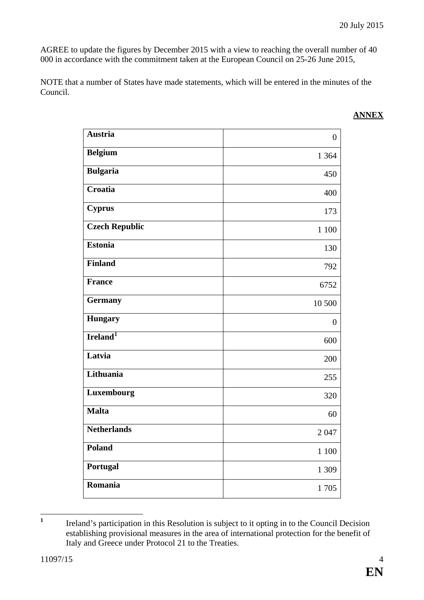AGREE to update the figures by December 2015 with a view to reaching the overall number of 40 000 in accordance with the commitment taken at the European Council on 25-26 June 2015,

NOTE that a number of States have made statements, which will be entered in the minutes of the Council.

| <b>Austria</b>        | $\boldsymbol{0}$ |
|-----------------------|------------------|
| <b>Belgium</b>        | 1 3 6 4          |
| <b>Bulgaria</b>       | 450              |
| Croatia               | 400              |
| <b>Cyprus</b>         | 173              |
| <b>Czech Republic</b> | 1 100            |
| Estonia               | 130              |
| <b>Finland</b>        | 792              |
| <b>France</b>         | 6752             |
| <b>Germany</b>        | 10 500           |
| <b>Hungary</b>        | $\boldsymbol{0}$ |
| Ireland <sup>1</sup>  | 600              |
| Latvia                | 200              |
| Lithuania             | 255              |
| Luxembourg            | 320              |
| Malta                 | 60               |
| <b>Netherlands</b>    | 2047             |
| Poland                | 1 100            |
| Portugal              | 1 309            |
| Romania               | 1705             |

<span id="page-3-0"></span><sup>1</sup> Ireland's participation in this Resolution is subject to it opting in to the Council Decision establishing provisional measures in the area of international protection for the benefit of Italy and Greece under Protocol 21 to the Treaties.

### **ANNEX**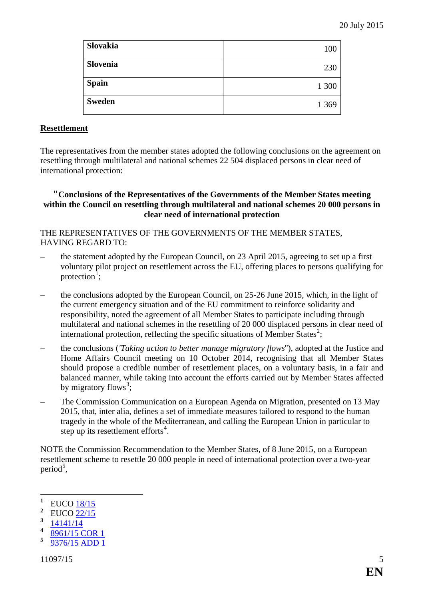| Slovakia      | 100     |
|---------------|---------|
| Slovenia      | 230     |
| <b>Spain</b>  | 1 300   |
| <b>Sweden</b> | 1 3 6 9 |

#### <span id="page-4-0"></span>**Resettlement**

The representatives from the member states adopted the following conclusions on the agreement on resettling through multilateral and national schemes 22 504 displaced persons in clear need of international protection:

#### **"Conclusions of the Representatives of the Governments of the Member States meeting within the Council on resettling through multilateral and national schemes 20 000 persons in clear need of international protection**

## THE REPRESENTATIVES OF THE GOVERNMENTS OF THE MEMBER STATES, HAVING REGARD TO:

- the statement adopted by the European Council, on 23 April 2015, agreeing to set up a first voluntary pilot project on resettlement across the EU, offering places to persons qualifying for protection<sup>[1](#page-4-1)</sup>;
- the conclusions adopted by the European Council, on 25-26 June 2015, which, in the light of the current emergency situation and of the EU commitment to reinforce solidarity and responsibility, noted the agreement of all Member States to participate including through multilateral and national schemes in the resettling of 20 000 displaced persons in clear need of international protection, reflecting the specific situations of Member States<sup>[2](#page-4-2)</sup>;
- the conclusions (*'Taking action to better manage migratory flows*''), adopted at the Justice and Home Affairs Council meeting on 10 October 2014, recognising that all Member States should propose a credible number of resettlement places, on a voluntary basis, in a fair and balanced manner, while taking into account the efforts carried out by Member States affected by migratory flows<sup>[3](#page-4-3)</sup>;
- The Commission Communication on a European Agenda on Migration, presented on 13 May 2015, that, inter alia, defines a set of immediate measures tailored to respond to the human tragedy in the whole of the Mediterranean, and calling the European Union in particular to step up its resettlement efforts $4$ .

NOTE the Commission Recommendation to the Member States, of 8 June 2015, on a European resettlement scheme to resettle 20 000 people in need of international protection over a two-year period<sup>[5](#page-4-5)</sup>,

<span id="page-4-4"></span> $\frac{4}{5}$   $\frac{8961/15 \text{ COR}}{0276/15 \text{ ADD}}$ 

**<sup>1</sup>** EUCO [18/15](http://data.consilium.europa.eu/doc/document/ST-18-2015-INIT/en/pdf)

<span id="page-4-2"></span><span id="page-4-1"></span><sup>&</sup>lt;sup>2</sup> EUCO  $\frac{22}{15}$ 

<span id="page-4-3"></span>**<sup>3</sup>** [14141/14](http://data.consilium.europa.eu/doc/document/ST-14141-2014-INIT/en/pdf)

<span id="page-4-5"></span>**<sup>5</sup>** [9376/15 ADD 1](http://data.consilium.europa.eu/doc/document/ST-9376-2015-ADD-1/en/pdf)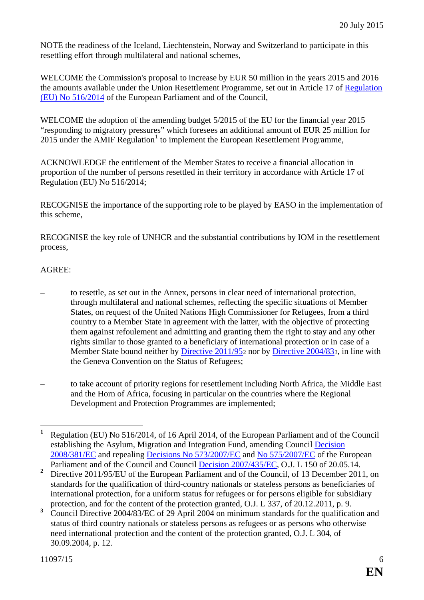NOTE the readiness of the Iceland, Liechtenstein, Norway and Switzerland to participate in this resettling effort through multilateral and national schemes,

WELCOME the Commission's proposal to increase by EUR 50 million in the years 2015 and 2016 the amounts available under the Union Resettlement Programme, set out in Article 17 of [Regulation](http://eur-lex.europa.eu/legal-content/EN/TXT/?uri=CELEX:32014R0516)  [\(EU\) No 516/2014](http://eur-lex.europa.eu/legal-content/EN/TXT/?uri=CELEX:32014R0516) of the European Parliament and of the Council,

WELCOME the adoption of the amending budget 5/2015 of the EU for the financial year 2015 "responding to migratory pressures" which foresees an additional amount of EUR 25 million for  $2015$  $2015$  $2015$  under the AMIF Regulation<sup>1</sup> to implement the European Resettlement Programme,

ACKNOWLEDGE the entitlement of the Member States to receive a financial allocation in proportion of the number of persons resettled in their territory in accordance with Article 17 of Regulation (EU) No 516/2014;

RECOGNISE the importance of the supporting role to be played by EASO in the implementation of this scheme,

RECOGNISE the key role of UNHCR and the substantial contributions by IOM in the resettlement process,

# AGREE:

- to resettle, as set out in the Annex, persons in clear need of international protection, through multilateral and national schemes, reflecting the specific situations of Member States, on request of the United Nations High Commissioner for Refugees, from a third country to a Member State in agreement with the latter, with the objective of protecting them against refoulement and admitting and granting them the right to stay and any other rights similar to those granted to a beneficiary of international protection or in case of a Member State bound neither by [Directive 2011/95](http://eur-lex.europa.eu/legal-content/EN/TXT/?uri=CELEX:32011L0095)<sub>[2](#page-5-1)</sub> nor by [Directive 2004/83](http://eur-lex.europa.eu/legal-content/EN/TXT/?uri=CELEX:32004L0083)<sub>[3](#page-5-2)</sub>, in line with the Geneva Convention on the Status of Refugees;
- to take account of priority regions for resettlement including North Africa, the Middle East and the Horn of Africa, focusing in particular on the countries where the Regional Development and Protection Programmes are implemented;

<span id="page-5-0"></span>**<sup>1</sup>** Regulation (EU) No 516/2014, of 16 April 2014, of the European Parliament and of the Council establishing the Asylum, Migration and Integration Fund, amending Council [Decision](http://eur-lex.europa.eu/legal-content/EN/TXT/?uri=celex:32008D0381)  [2008/381/EC](http://eur-lex.europa.eu/legal-content/EN/TXT/?uri=celex:32008D0381) and repealing [Decisions No 573/2007/EC](http://eur-lex.europa.eu/legal-content/EN/TXT/?uri=CELEX:32007D0573) and [No 575/2007/EC](http://eur-lex.europa.eu/legal-content/EN/TXT/?uri=CELEX:32007D0575) of the European Parliament and of the Council and Council [Decision 2007/435/EC,](http://eur-lex.europa.eu/legal-content/EN/TXT/?uri=CELEX:32007D0435) O.J. L 150 of 20.05.14.

<span id="page-5-1"></span><sup>&</sup>lt;sup>2</sup> Directive 2011/95/EU of the European Parliament and of the Council, of 13 December 2011, on standards for the qualification of third-country nationals or stateless persons as beneficiaries of international protection, for a uniform status for refugees or for persons eligible for subsidiary protection, and for the content of the protection granted, O.J. L 337, of 20.12.2011, p. 9.

<span id="page-5-2"></span>**<sup>3</sup>** Council Directive 2004/83/EC of 29 April 2004 on minimum standards for the qualification and status of third country nationals or stateless persons as refugees or as persons who otherwise need international protection and the content of the protection granted, O.J. L 304, of 30.09.2004, p. 12.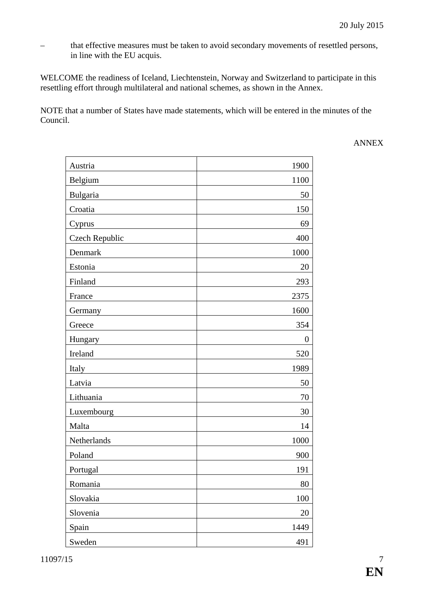– that effective measures must be taken to avoid secondary movements of resettled persons, in line with the EU acquis.

WELCOME the readiness of Iceland, Liechtenstein, Norway and Switzerland to participate in this resettling effort through multilateral and national schemes, as shown in the Annex.

NOTE that a number of States have made statements, which will be entered in the minutes of the Council.

ANNEX

| Austria               | 1900           |
|-----------------------|----------------|
| Belgium               | 1100           |
| Bulgaria              | 50             |
| Croatia               | 150            |
| Cyprus                | 69             |
| <b>Czech Republic</b> | 400            |
| Denmark               | 1000           |
| Estonia               | 20             |
| Finland               | 293            |
| France                | 2375           |
| Germany               | 1600           |
| Greece                | 354            |
| Hungary               | $\overline{0}$ |
| Ireland               | 520            |
| Italy                 | 1989           |
| Latvia                | 50             |
| Lithuania             | 70             |
| Luxembourg            | 30             |
| Malta                 | 14             |
| Netherlands           | 1000           |
| Poland                | 900            |
| Portugal              | 191            |
| Romania               | 80             |
| Slovakia              | 100            |
| Slovenia              | 20             |
| Spain                 | 1449           |
| Sweden                | 491            |

11097/15 7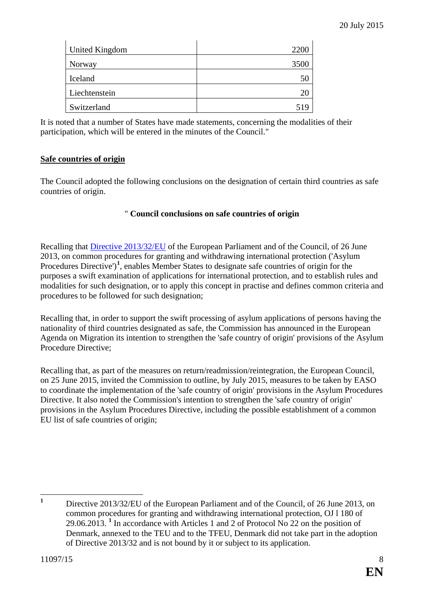| <b>United Kingdom</b> | 2200 |
|-----------------------|------|
| Norway                | 3500 |
| Iceland               | ЭU   |
| Liechtenstein         |      |
| Switzerland           |      |

It is noted that a number of States have made statements, concerning the modalities of their participation, which will be entered in the minutes of the Council."

### <span id="page-7-0"></span>**Safe countries of origin**

The Council adopted the following conclusions on the designation of certain third countries as safe countries of origin.

#### " **Council conclusions on safe countries of origin**

Recalling that [Directive 2013/32/EU](http://eur-lex.europa.eu/legal-content/EN/TXT/?uri=celex:32013L0032) of the European Parliament and of the Council, of 26 June 2013, on common procedures for granting and withdrawing international protection ('Asylum Procedures Directive')<sup>[1](#page-7-1)</sup>, enables Member States to designate safe countries of origin for the purposes a swift examination of applications for international protection, and to establish rules and modalities for such designation, or to apply this concept in practise and defines common criteria and procedures to be followed for such designation;

Recalling that, in order to support the swift processing of asylum applications of persons having the nationality of third countries designated as safe, the Commission has announced in the European Agenda on Migration its intention to strengthen the 'safe country of origin' provisions of the Asylum Procedure Directive;

Recalling that, as part of the measures on return/readmission/reintegration, the European Council, on 25 June 2015, invited the Commission to outline, by July 2015, measures to be taken by EASO to coordinate the implementation of the 'safe country of origin' provisions in the Asylum Procedures Directive. It also noted the Commission's intention to strengthen the 'safe country of origin' provisions in the Asylum Procedures Directive, including the possible establishment of a common EU list of safe countries of origin;

<span id="page-7-1"></span><sup>&</sup>lt;sup>1</sup> Directive 2013/32/EU of the European Parliament and of the Council, of 26 June 2013, on common procedures for granting and withdrawing international protection, OJ l 180 of 29.06.2013. **<sup>1</sup>** In accordance with Articles 1 and 2 of Protocol No 22 on the position of Denmark, annexed to the TEU and to the TFEU, Denmark did not take part in the adoption of Directive 2013/32 and is not bound by it or subject to its application.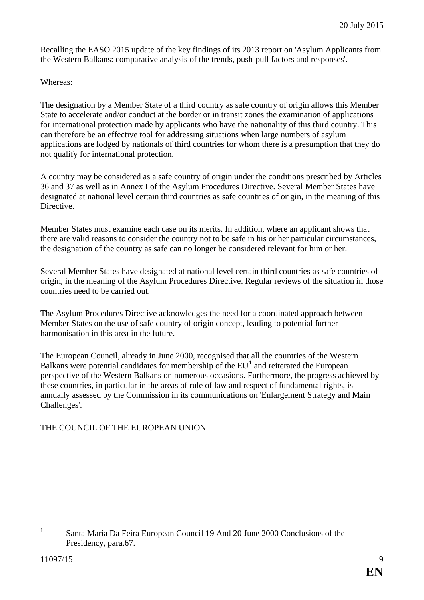Recalling the EASO 2015 update of the key findings of its 2013 report on 'Asylum Applicants from the Western Balkans: comparative analysis of the trends, push-pull factors and responses'.

#### Whereas:

The designation by a Member State of a third country as safe country of origin allows this Member State to accelerate and/or conduct at the border or in transit zones the examination of applications for international protection made by applicants who have the nationality of this third country. This can therefore be an effective tool for addressing situations when large numbers of asylum applications are lodged by nationals of third countries for whom there is a presumption that they do not qualify for international protection.

A country may be considered as a safe country of origin under the conditions prescribed by Articles 36 and 37 as well as in Annex I of the Asylum Procedures Directive. Several Member States have designated at national level certain third countries as safe countries of origin, in the meaning of this Directive.

Member States must examine each case on its merits. In addition, where an applicant shows that there are valid reasons to consider the country not to be safe in his or her particular circumstances, the designation of the country as safe can no longer be considered relevant for him or her.

Several Member States have designated at national level certain third countries as safe countries of origin, in the meaning of the Asylum Procedures Directive. Regular reviews of the situation in those countries need to be carried out.

The Asylum Procedures Directive acknowledges the need for a coordinated approach between Member States on the use of safe country of origin concept, leading to potential further harmonisation in this area in the future.

The European Council, already in June 2000, recognised that all the countries of the Western Balkans were potential candidates for membership of the EU**[1](#page-8-0)** and reiterated the European perspective of the Western Balkans on numerous occasions. Furthermore, the progress achieved by these countries, in particular in the areas of rule of law and respect of fundamental rights, is annually assessed by the Commission in its communications on 'Enlargement Strategy and Main Challenges'.

### THE COUNCIL OF THE EUROPEAN UNION

<span id="page-8-0"></span>**<sup>1</sup>** Santa Maria Da Feira European Council 19 And 20 June 2000 Conclusions of the Presidency, para.67.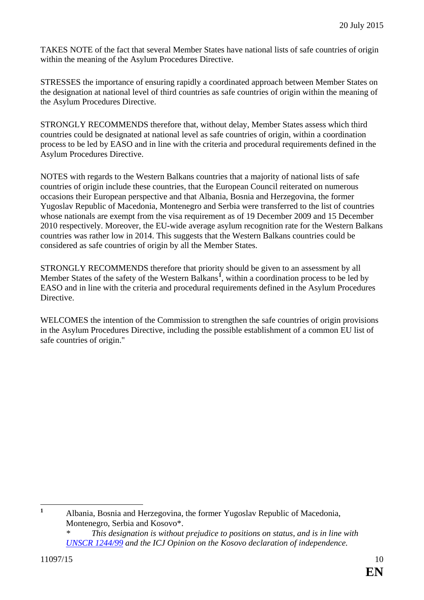TAKES NOTE of the fact that several Member States have national lists of safe countries of origin within the meaning of the Asylum Procedures Directive.

STRESSES the importance of ensuring rapidly a coordinated approach between Member States on the designation at national level of third countries as safe countries of origin within the meaning of the Asylum Procedures Directive.

STRONGLY RECOMMENDS therefore that, without delay, Member States assess which third countries could be designated at national level as safe countries of origin, within a coordination process to be led by EASO and in line with the criteria and procedural requirements defined in the Asylum Procedures Directive.

NOTES with regards to the Western Balkans countries that a majority of national lists of safe countries of origin include these countries, that the European Council reiterated on numerous occasions their European perspective and that Albania, Bosnia and Herzegovina, the former Yugoslav Republic of Macedonia, Montenegro and Serbia were transferred to the list of countries whose nationals are exempt from the visa requirement as of 19 December 2009 and 15 December 2010 respectively. Moreover, the EU-wide average asylum recognition rate for the Western Balkans countries was rather low in 2014. This suggests that the Western Balkans countries could be considered as safe countries of origin by all the Member States.

STRONGLY RECOMMENDS therefore that priority should be given to an assessment by all Member States of the safety of the Western Balkans**[1](#page-9-0)** , within a coordination process to be led by EASO and in line with the criteria and procedural requirements defined in the Asylum Procedures Directive.

WELCOMES the intention of the Commission to strengthen the safe countries of origin provisions in the Asylum Procedures Directive, including the possible establishment of a common EU list of safe countries of origin."

<span id="page-9-0"></span> **<sup>1</sup>** Albania, Bosnia and Herzegovina, the former Yugoslav Republic of Macedonia, Montenegro, Serbia and Kosovo\*.

*This designation is without prejudice to positions on status, and is in line with [UNSCR 1244/99](http://daccess-dds-ny.un.org/doc/UNDOC/GEN/N99/172/89/PDF/N9917289.pdf?OpenElement) and the ICJ Opinion on the Kosovo declaration of independence.*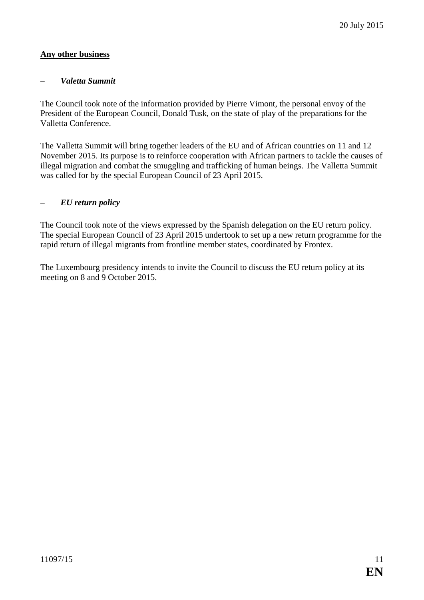## <span id="page-10-0"></span>**Any other business**

#### <span id="page-10-1"></span>– *Valetta Summit*

The Council took note of the information provided by Pierre Vimont, the personal envoy of the President of the European Council, Donald Tusk, on the state of play of the preparations for the Valletta Conference.

The Valletta Summit will bring together leaders of the EU and of African countries on 11 and 12 November 2015. Its purpose is to reinforce cooperation with African partners to tackle the causes of illegal migration and combat the smuggling and trafficking of human beings. The Valletta Summit was called for by the special European Council of 23 April 2015.

#### <span id="page-10-2"></span>– *EU return policy*

The Council took note of the views expressed by the Spanish delegation on the EU return policy. The special European Council of 23 April 2015 undertook to set up a new return programme for the rapid return of illegal migrants from frontline member states, coordinated by Frontex.

The Luxembourg presidency intends to invite the Council to discuss the EU return policy at its meeting on 8 and 9 October 2015.